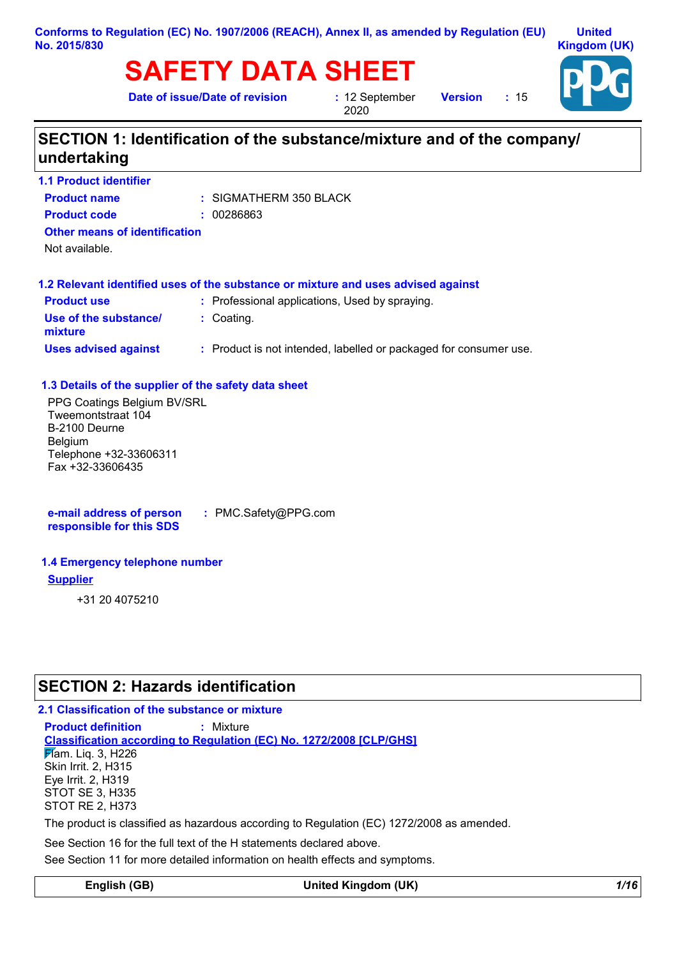### **Conforms to Regulation (EC) No. 1907/2006 (REACH), Annex II, as amended by Regulation (EU) No. 2015/830**

# **SAFETY DATA SHEET**

**Date of issue/Date of revision :** 12 September

2020

**Version :** 15



## **SECTION 1: Identification of the substance/mixture and of the company/ undertaking**

| <b>1.1 Product identifier</b>        |                        |  |
|--------------------------------------|------------------------|--|
| <b>Product name</b>                  | : SIGMATHERM 350 BLACK |  |
| <b>Product code</b>                  | : 00286863             |  |
| <b>Other means of identification</b> |                        |  |
| . Not available.                     |                        |  |

### **1.2 Relevant identified uses of the substance or mixture and uses advised against**

| <b>Product use</b>               | : Professional applications, Used by spraying.                    |
|----------------------------------|-------------------------------------------------------------------|
| Use of the substance/<br>mixture | : Coating.                                                        |
| <b>Uses advised against</b>      | : Product is not intended, labelled or packaged for consumer use. |

### **1.3 Details of the supplier of the safety data sheet**

PPG Coatings Belgium BV/SRL Tweemontstraat 104 B-2100 Deurne Belgium Telephone +32-33606311 Fax +32-33606435

**e-mail address of person responsible for this SDS :** PMC.Safety@PPG.com

### **1.4 Emergency telephone number**

### **Supplier**

+31 20 4075210

## **SECTION 2: Hazards identification**

**2.1 Classification of the substance or mixture Product definition :** Mixture

**Classification according to Regulation (EC) No. 1272/2008 [CLP/GHS] F**lam. Lig. 3, H226 Skin Irrit. 2, H315 Eye Irrit. 2, H319 STOT SE 3, H335 STOT RE 2, H373

The product is classified as hazardous according to Regulation (EC) 1272/2008 as amended.

See Section 16 for the full text of the H statements declared above.

See Section 11 for more detailed information on health effects and symptoms.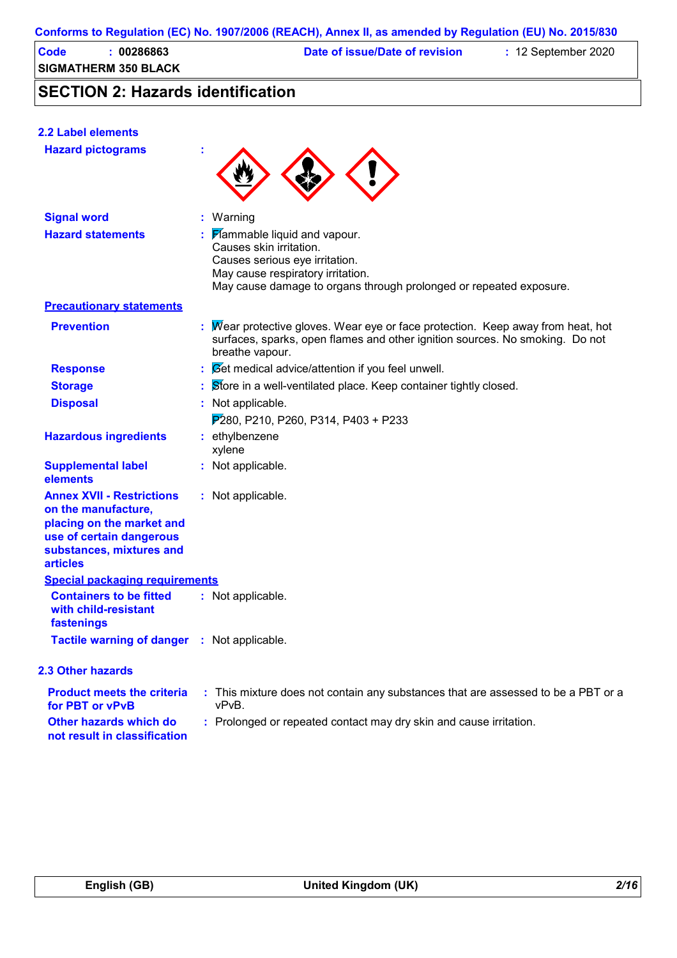| Code | 00286863             | Date of issue/Date of revision | $: 12$ September 2020 |  |
|------|----------------------|--------------------------------|-----------------------|--|
|      | SIGMATHERM 350 BLACK |                                |                       |  |

## **SECTION 2: Hazards identification**

| 2.2 Label elements                                                                                                                                              |                                                                                                                                                                                                             |
|-----------------------------------------------------------------------------------------------------------------------------------------------------------------|-------------------------------------------------------------------------------------------------------------------------------------------------------------------------------------------------------------|
| <b>Hazard pictograms</b>                                                                                                                                        |                                                                                                                                                                                                             |
| <b>Signal word</b>                                                                                                                                              | : Warning                                                                                                                                                                                                   |
| <b>Hazard statements</b>                                                                                                                                        | <b>Flammable liquid and vapour.</b><br>Causes skin irritation.<br>Causes serious eye irritation.<br>May cause respiratory irritation.<br>May cause damage to organs through prolonged or repeated exposure. |
| <b>Precautionary statements</b>                                                                                                                                 |                                                                                                                                                                                                             |
| <b>Prevention</b>                                                                                                                                               | : Mear protective gloves. Wear eye or face protection. Keep away from heat, hot<br>surfaces, sparks, open flames and other ignition sources. No smoking. Do not<br>breathe vapour.                          |
| <b>Response</b>                                                                                                                                                 | : Set medical advice/attention if you feel unwell.                                                                                                                                                          |
| <b>Storage</b>                                                                                                                                                  | Store in a well-ventilated place. Keep container tightly closed.                                                                                                                                            |
| <b>Disposal</b>                                                                                                                                                 | : Not applicable.                                                                                                                                                                                           |
|                                                                                                                                                                 | $P280, P210, P260, P314, P403 + P233$                                                                                                                                                                       |
| <b>Hazardous ingredients</b>                                                                                                                                    | : ethylbenzene<br>xylene                                                                                                                                                                                    |
| <b>Supplemental label</b><br>elements                                                                                                                           | : Not applicable.                                                                                                                                                                                           |
| <b>Annex XVII - Restrictions</b><br>on the manufacture,<br>placing on the market and<br>use of certain dangerous<br>substances, mixtures and<br><b>articles</b> | : Not applicable.                                                                                                                                                                                           |
| <b>Special packaging requirements</b>                                                                                                                           |                                                                                                                                                                                                             |
| <b>Containers to be fitted</b><br>with child-resistant<br>fastenings                                                                                            | : Not applicable.                                                                                                                                                                                           |
| Tactile warning of danger : Not applicable.                                                                                                                     |                                                                                                                                                                                                             |
| <b>2.3 Other hazards</b>                                                                                                                                        |                                                                                                                                                                                                             |
|                                                                                                                                                                 | a Alexandria del Carlo III de Telestratura de la carlo de la carlo de la carlo de la carlo de la Ale<br><b>DDT</b>                                                                                          |

| <b>Product meets the criteria</b><br>for PBT or vPvB   | This mixture does not contain any substances that are assessed to be a PBT or a<br>vPvB. |  |
|--------------------------------------------------------|------------------------------------------------------------------------------------------|--|
| Other hazards which do<br>not result in classification | : Prolonged or repeated contact may dry skin and cause irritation.                       |  |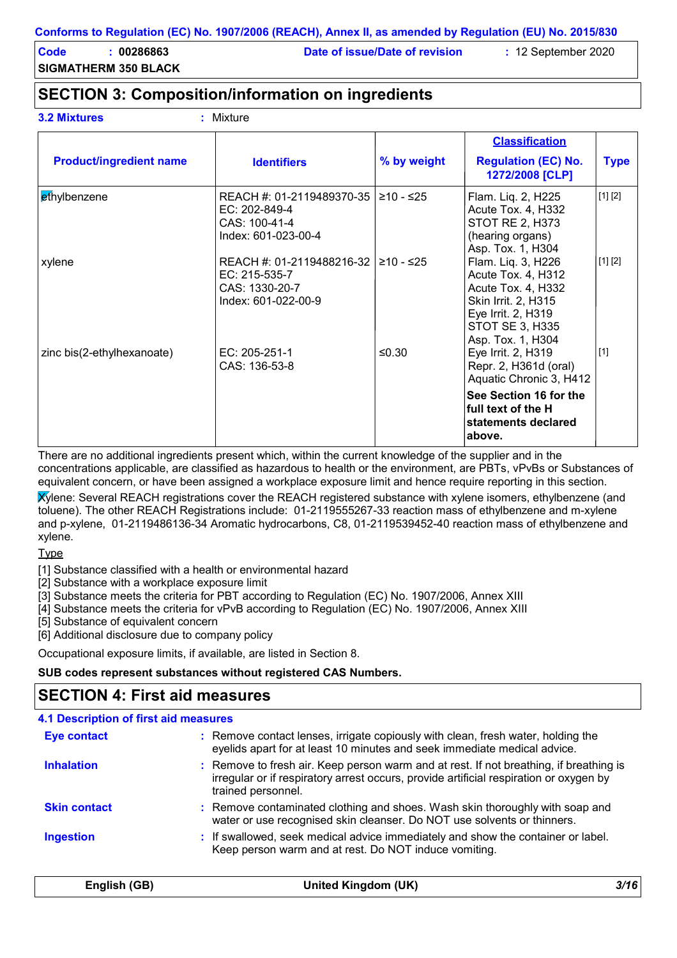**Code : 00286863 Date of issue/Date of revision :** 12 September 2020

**SIGMATHERM 350 BLACK**

## **SECTION 3: Composition/information on ingredients**

| <b>3.2 Mixtures</b> |  |
|---------------------|--|
|                     |  |

**3.2 Mixtures :** Mixture

| <b>Product/ingredient name</b> | <b>Identifiers</b>                                                                             | % by weight | <b>Classification</b><br><b>Regulation (EC) No.</b><br>1272/2008 [CLP]                                                                                     | <b>Type</b> |
|--------------------------------|------------------------------------------------------------------------------------------------|-------------|------------------------------------------------------------------------------------------------------------------------------------------------------------|-------------|
| ethylbenzene                   | REACH #: 01-2119489370-35   ≥10 - ≤25<br>EC: 202-849-4<br>CAS: 100-41-4<br>Index: 601-023-00-4 |             | Flam. Liq. 2, H225<br>Acute Tox. 4, H332<br><b>STOT RE 2, H373</b><br>(hearing organs)<br>Asp. Tox. 1, H304                                                | [1] [2]     |
| xylene                         | REACH #: 01-2119488216-32<br>EC: 215-535-7<br>CAS: 1330-20-7<br>Index: 601-022-00-9            | l ≥10 - ≤25 | Flam. Liq. 3, H226<br>Acute Tox. 4, H312<br>Acute Tox. 4, H332<br>Skin Irrit. 2, H315<br>Eye Irrit. 2, H319<br><b>STOT SE 3, H335</b><br>Asp. Tox. 1, H304 | [1] [2]     |
| zinc bis(2-ethylhexanoate)     | EC: 205-251-1<br>CAS: 136-53-8                                                                 | ≤0.30       | Eye Irrit. 2, H319<br>Repr. 2, H361d (oral)<br>Aquatic Chronic 3, H412<br>See Section 16 for the<br>full text of the H<br>statements declared              | $[1]$       |

There are no additional ingredients present which, within the current knowledge of the supplier and in the concentrations applicable, are classified as hazardous to health or the environment, are PBTs, vPvBs or Substances of equivalent concern, or have been assigned a workplace exposure limit and hence require reporting in this section.

Xylene: Several REACH registrations cover the REACH registered substance with xylene isomers, ethylbenzene (and toluene). The other REACH Registrations include: 01-2119555267-33 reaction mass of ethylbenzene and m-xylene and p-xylene, 01-2119486136-34 Aromatic hydrocarbons, C8, 01-2119539452-40 reaction mass of ethylbenzene and xylene.

**Type** 

[1] Substance classified with a health or environmental hazard

[2] Substance with a workplace exposure limit

[3] Substance meets the criteria for PBT according to Regulation (EC) No. 1907/2006, Annex XIII

[4] Substance meets the criteria for vPvB according to Regulation (EC) No. 1907/2006, Annex XIII

[5] Substance of equivalent concern

[6] Additional disclosure due to company policy

Occupational exposure limits, if available, are listed in Section 8.

### **SUB codes represent substances without registered CAS Numbers.**

### **SECTION 4: First aid measures**

| <b>Eye contact</b>  | : Remove contact lenses, irrigate copiously with clean, fresh water, holding the<br>eyelids apart for at least 10 minutes and seek immediate medical advice.                                           |
|---------------------|--------------------------------------------------------------------------------------------------------------------------------------------------------------------------------------------------------|
| <b>Inhalation</b>   | : Remove to fresh air. Keep person warm and at rest. If not breathing, if breathing is<br>irregular or if respiratory arrest occurs, provide artificial respiration or oxygen by<br>trained personnel. |
| <b>Skin contact</b> | : Remove contaminated clothing and shoes. Wash skin thoroughly with soap and<br>water or use recognised skin cleanser. Do NOT use solvents or thinners.                                                |
| <b>Ingestion</b>    | : If swallowed, seek medical advice immediately and show the container or label.<br>Keep person warm and at rest. Do NOT induce vomiting.                                                              |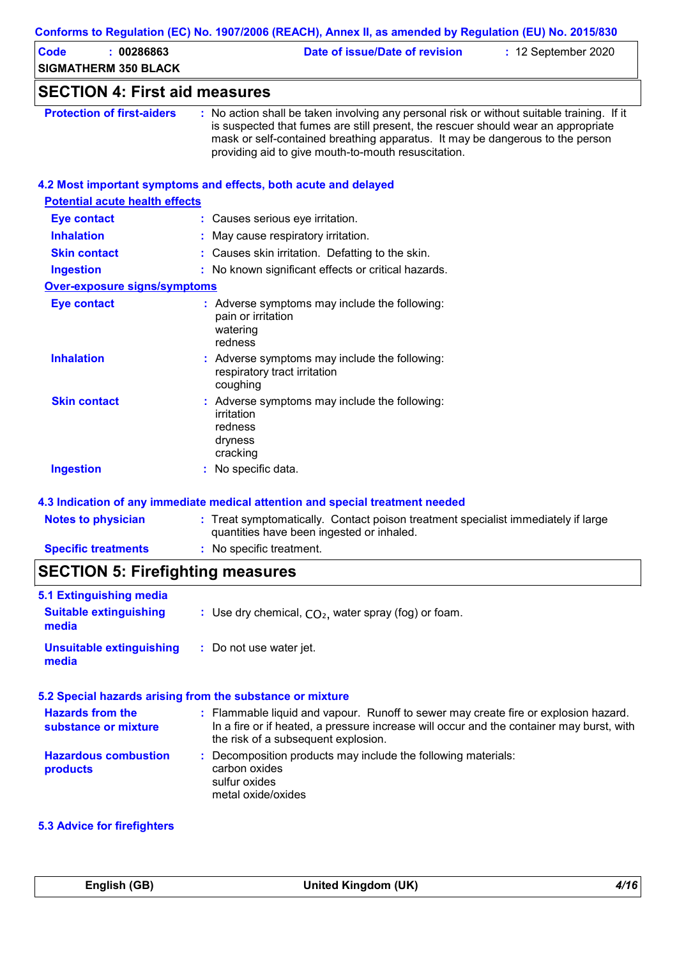| <b>Code</b><br>: 00286863<br><b>SIGMATHERM 350 BLACK</b> | Date of issue/Date of revision<br>: 12 September 2020                                                                                                                                                                                                                                                                   |
|----------------------------------------------------------|-------------------------------------------------------------------------------------------------------------------------------------------------------------------------------------------------------------------------------------------------------------------------------------------------------------------------|
| <b>SECTION 4: First aid measures</b>                     |                                                                                                                                                                                                                                                                                                                         |
| <b>Protection of first-aiders</b>                        | : No action shall be taken involving any personal risk or without suitable training. If it<br>is suspected that fumes are still present, the rescuer should wear an appropriate<br>mask or self-contained breathing apparatus. It may be dangerous to the person<br>providing aid to give mouth-to-mouth resuscitation. |
|                                                          | 4.2 Most important symptoms and effects, both acute and delayed                                                                                                                                                                                                                                                         |
| <b>Potential acute health effects</b>                    |                                                                                                                                                                                                                                                                                                                         |
| <b>Eye contact</b>                                       | : Causes serious eye irritation.                                                                                                                                                                                                                                                                                        |
| <b>Inhalation</b>                                        | : May cause respiratory irritation.                                                                                                                                                                                                                                                                                     |
| <b>Skin contact</b>                                      | : Causes skin irritation. Defatting to the skin.                                                                                                                                                                                                                                                                        |
| <b>Ingestion</b>                                         | : No known significant effects or critical hazards.                                                                                                                                                                                                                                                                     |
| Over-exposure signs/symptoms                             |                                                                                                                                                                                                                                                                                                                         |
| <b>Eye contact</b>                                       | : Adverse symptoms may include the following:<br>pain or irritation<br>watering<br>redness                                                                                                                                                                                                                              |
| <b>Inhalation</b>                                        | : Adverse symptoms may include the following:<br>respiratory tract irritation<br>coughing                                                                                                                                                                                                                               |
| <b>Skin contact</b>                                      | : Adverse symptoms may include the following:<br>irritation<br>redness<br>dryness<br>cracking                                                                                                                                                                                                                           |
| <b>Ingestion</b>                                         | : No specific data.                                                                                                                                                                                                                                                                                                     |
|                                                          | 4.3 Indication of any immediate medical attention and special treatment needed                                                                                                                                                                                                                                          |
| <b>Notes to physician</b>                                | : Treat symptomatically. Contact poison treatment specialist immediately if large<br>quantities have been ingested or inhaled.                                                                                                                                                                                          |
| <b>Specific treatments</b>                               | : No specific treatment.                                                                                                                                                                                                                                                                                                |

| 5.1 Extinguishing media<br><b>Suitable extinguishing</b><br>media | : Use dry chemical, $CO2$ , water spray (fog) or foam.                                                                                                                                                                 |
|-------------------------------------------------------------------|------------------------------------------------------------------------------------------------------------------------------------------------------------------------------------------------------------------------|
| <b>Unsuitable extinguishing</b><br>media                          | : Do not use water jet.                                                                                                                                                                                                |
|                                                                   | 5.2 Special hazards arising from the substance or mixture                                                                                                                                                              |
| <b>Hazards from the</b><br>substance or mixture                   | : Flammable liquid and vapour. Runoff to sewer may create fire or explosion hazard.<br>In a fire or if heated, a pressure increase will occur and the container may burst, with<br>the risk of a subsequent explosion. |
| <b>Hazardous combustion</b><br>products                           | : Decomposition products may include the following materials:<br>carbon oxides<br>sulfur oxides                                                                                                                        |

metal oxide/oxides

### **5.3 Advice for firefighters**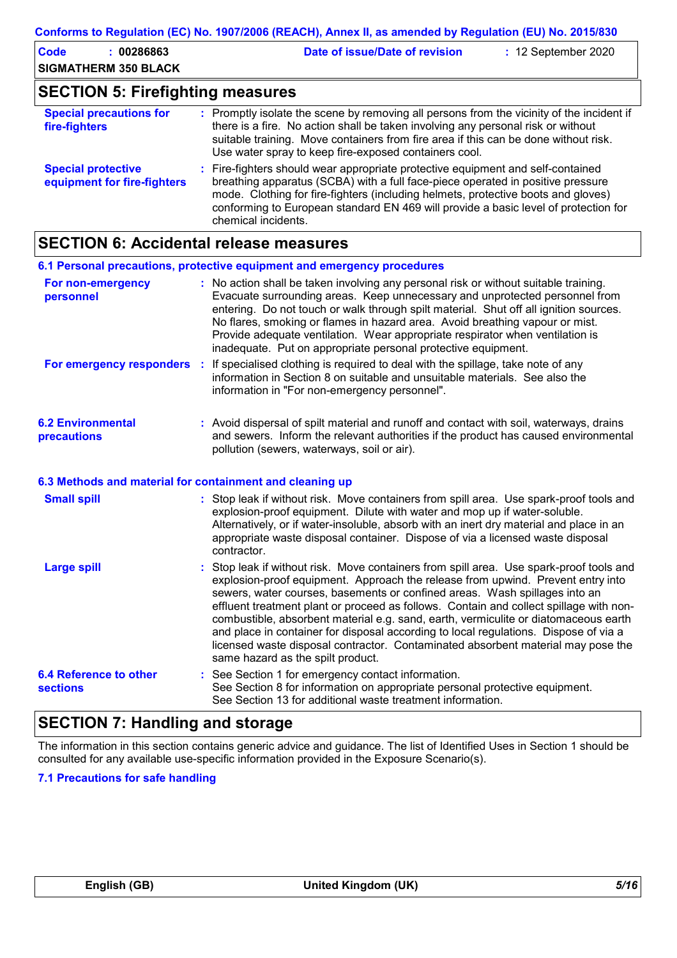| Code                                    |  | $: \overline{00286863}$ | Date of issue/Date of revision | $: 12$ September 2020 |  |
|-----------------------------------------|--|-------------------------|--------------------------------|-----------------------|--|
| <b>SIGMATHERM 350 BLACK</b>             |  |                         |                                |                       |  |
| <b>SECTION 5: Firefighting measures</b> |  |                         |                                |                       |  |

| <b>Special precautions for</b><br>fire-fighters          | : Promptly isolate the scene by removing all persons from the vicinity of the incident if<br>there is a fire. No action shall be taken involving any personal risk or without<br>suitable training. Move containers from fire area if this can be done without risk.<br>Use water spray to keep fire-exposed containers cool.                                         |
|----------------------------------------------------------|-----------------------------------------------------------------------------------------------------------------------------------------------------------------------------------------------------------------------------------------------------------------------------------------------------------------------------------------------------------------------|
| <b>Special protective</b><br>equipment for fire-fighters | : Fire-fighters should wear appropriate protective equipment and self-contained<br>breathing apparatus (SCBA) with a full face-piece operated in positive pressure<br>mode. Clothing for fire-fighters (including helmets, protective boots and gloves)<br>conforming to European standard EN 469 will provide a basic level of protection for<br>chemical incidents. |

## **SECTION 6: Accidental release measures**

|                                                          | 6.1 Personal precautions, protective equipment and emergency procedures                                                                                                                                                                                                                                                                                                                                                                                                                                                                                                                                                                                  |
|----------------------------------------------------------|----------------------------------------------------------------------------------------------------------------------------------------------------------------------------------------------------------------------------------------------------------------------------------------------------------------------------------------------------------------------------------------------------------------------------------------------------------------------------------------------------------------------------------------------------------------------------------------------------------------------------------------------------------|
| For non-emergency<br>personnel                           | : No action shall be taken involving any personal risk or without suitable training.<br>Evacuate surrounding areas. Keep unnecessary and unprotected personnel from<br>entering. Do not touch or walk through spilt material. Shut off all ignition sources.<br>No flares, smoking or flames in hazard area. Avoid breathing vapour or mist.<br>Provide adequate ventilation. Wear appropriate respirator when ventilation is<br>inadequate. Put on appropriate personal protective equipment.                                                                                                                                                           |
| For emergency responders :                               | If specialised clothing is required to deal with the spillage, take note of any<br>information in Section 8 on suitable and unsuitable materials. See also the<br>information in "For non-emergency personnel".                                                                                                                                                                                                                                                                                                                                                                                                                                          |
| <b>6.2 Environmental</b><br>precautions                  | : Avoid dispersal of spilt material and runoff and contact with soil, waterways, drains<br>and sewers. Inform the relevant authorities if the product has caused environmental<br>pollution (sewers, waterways, soil or air).                                                                                                                                                                                                                                                                                                                                                                                                                            |
| 6.3 Methods and material for containment and cleaning up |                                                                                                                                                                                                                                                                                                                                                                                                                                                                                                                                                                                                                                                          |
| <b>Small spill</b>                                       | : Stop leak if without risk. Move containers from spill area. Use spark-proof tools and<br>explosion-proof equipment. Dilute with water and mop up if water-soluble.<br>Alternatively, or if water-insoluble, absorb with an inert dry material and place in an<br>appropriate waste disposal container. Dispose of via a licensed waste disposal<br>contractor.                                                                                                                                                                                                                                                                                         |
| <b>Large spill</b>                                       | Stop leak if without risk. Move containers from spill area. Use spark-proof tools and<br>explosion-proof equipment. Approach the release from upwind. Prevent entry into<br>sewers, water courses, basements or confined areas. Wash spillages into an<br>effluent treatment plant or proceed as follows. Contain and collect spillage with non-<br>combustible, absorbent material e.g. sand, earth, vermiculite or diatomaceous earth<br>and place in container for disposal according to local regulations. Dispose of via a<br>licensed waste disposal contractor. Contaminated absorbent material may pose the<br>same hazard as the spilt product. |
| <b>6.4 Reference to other</b><br><b>sections</b>         | : See Section 1 for emergency contact information.<br>See Section 8 for information on appropriate personal protective equipment.<br>See Section 13 for additional waste treatment information.                                                                                                                                                                                                                                                                                                                                                                                                                                                          |

## **SECTION 7: Handling and storage**

The information in this section contains generic advice and guidance. The list of Identified Uses in Section 1 should be consulted for any available use-specific information provided in the Exposure Scenario(s).

### **7.1 Precautions for safe handling**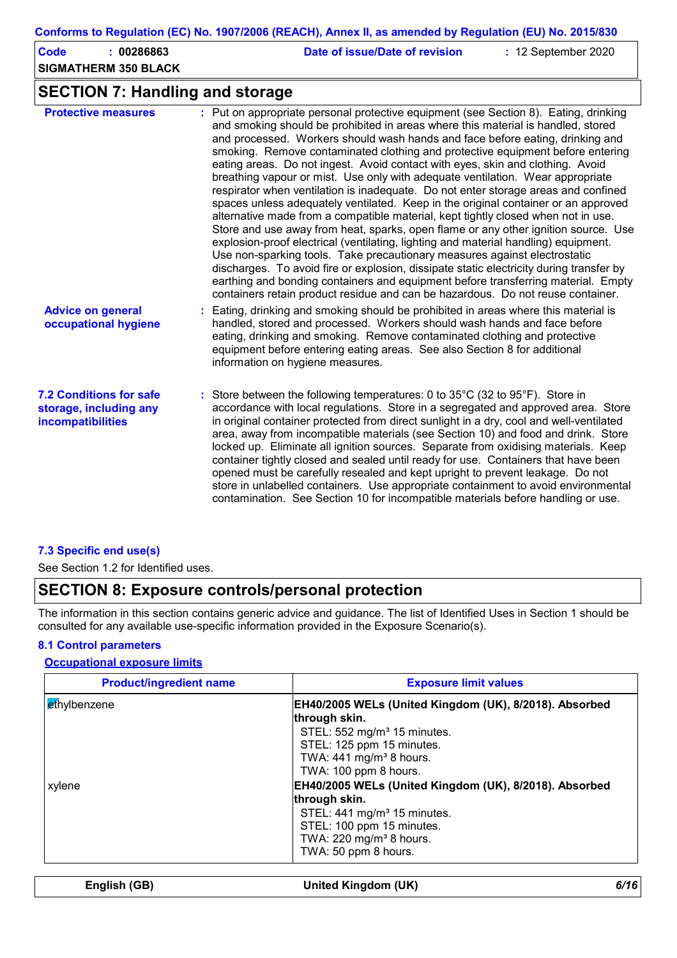| Code<br>: 00286863<br><b>SIGMATHERM 350 BLACK</b> | Date of issue/Date of revision<br>$: 12$ September 2020                              |
|---------------------------------------------------|--------------------------------------------------------------------------------------|
| <b>SECTION 7: Handling and storage</b>            |                                                                                      |
| <b>Protective measures</b>                        | : Put on appropriate personal protective equipment (see Section 8). Eating, drinking |

| <b>Protective measures</b>                                                           | $\therefore$ Put on appropriate personal protective equipment (see Section 8). Eating, drinking<br>and smoking should be prohibited in areas where this material is handled, stored<br>and processed. Workers should wash hands and face before eating, drinking and<br>smoking. Remove contaminated clothing and protective equipment before entering<br>eating areas. Do not ingest. Avoid contact with eyes, skin and clothing. Avoid<br>breathing vapour or mist. Use only with adequate ventilation. Wear appropriate<br>respirator when ventilation is inadequate. Do not enter storage areas and confined<br>spaces unless adequately ventilated. Keep in the original container or an approved<br>alternative made from a compatible material, kept tightly closed when not in use.<br>Store and use away from heat, sparks, open flame or any other ignition source. Use<br>explosion-proof electrical (ventilating, lighting and material handling) equipment.<br>Use non-sparking tools. Take precautionary measures against electrostatic<br>discharges. To avoid fire or explosion, dissipate static electricity during transfer by<br>earthing and bonding containers and equipment before transferring material. Empty<br>containers retain product residue and can be hazardous. Do not reuse container. |
|--------------------------------------------------------------------------------------|--------------------------------------------------------------------------------------------------------------------------------------------------------------------------------------------------------------------------------------------------------------------------------------------------------------------------------------------------------------------------------------------------------------------------------------------------------------------------------------------------------------------------------------------------------------------------------------------------------------------------------------------------------------------------------------------------------------------------------------------------------------------------------------------------------------------------------------------------------------------------------------------------------------------------------------------------------------------------------------------------------------------------------------------------------------------------------------------------------------------------------------------------------------------------------------------------------------------------------------------------------------------------------------------------------------------------|
| <b>Advice on general</b><br>occupational hygiene                                     | : Eating, drinking and smoking should be prohibited in areas where this material is<br>handled, stored and processed. Workers should wash hands and face before<br>eating, drinking and smoking. Remove contaminated clothing and protective<br>equipment before entering eating areas. See also Section 8 for additional<br>information on hygiene measures.                                                                                                                                                                                                                                                                                                                                                                                                                                                                                                                                                                                                                                                                                                                                                                                                                                                                                                                                                            |
| <b>7.2 Conditions for safe</b><br>storage, including any<br><b>incompatibilities</b> | : Store between the following temperatures: 0 to 35°C (32 to 95°F). Store in<br>accordance with local regulations. Store in a segregated and approved area. Store<br>in original container protected from direct sunlight in a dry, cool and well-ventilated<br>area, away from incompatible materials (see Section 10) and food and drink. Store<br>locked up. Eliminate all ignition sources. Separate from oxidising materials. Keep<br>container tightly closed and sealed until ready for use. Containers that have been<br>opened must be carefully resealed and kept upright to prevent leakage. Do not<br>store in unlabelled containers. Use appropriate containment to avoid environmental<br>contamination. See Section 10 for incompatible materials before handling or use.                                                                                                                                                                                                                                                                                                                                                                                                                                                                                                                                 |

### **7.3 Specific end use(s)**

See Section 1.2 for Identified uses.

## **SECTION 8: Exposure controls/personal protection**

The information in this section contains generic advice and guidance. The list of Identified Uses in Section 1 should be consulted for any available use-specific information provided in the Exposure Scenario(s).

### **8.1 Control parameters**

### **Occupational exposure limits**

| EH40/2005 WELs (United Kingdom (UK), 8/2018). Absorbed<br>through skin. |
|-------------------------------------------------------------------------|
| STEL: 552 mg/m <sup>3</sup> 15 minutes.                                 |
| STEL: 125 ppm 15 minutes.                                               |
| TWA: $441$ mg/m <sup>3</sup> 8 hours.                                   |
| TWA: 100 ppm 8 hours.                                                   |
| EH40/2005 WELs (United Kingdom (UK), 8/2018). Absorbed                  |
| through skin.                                                           |
| STEL: 441 mg/m <sup>3</sup> 15 minutes.                                 |
| STEL: 100 ppm 15 minutes.                                               |
| TWA: 220 mg/m <sup>3</sup> 8 hours.                                     |
| TWA: 50 ppm 8 hours.                                                    |
|                                                                         |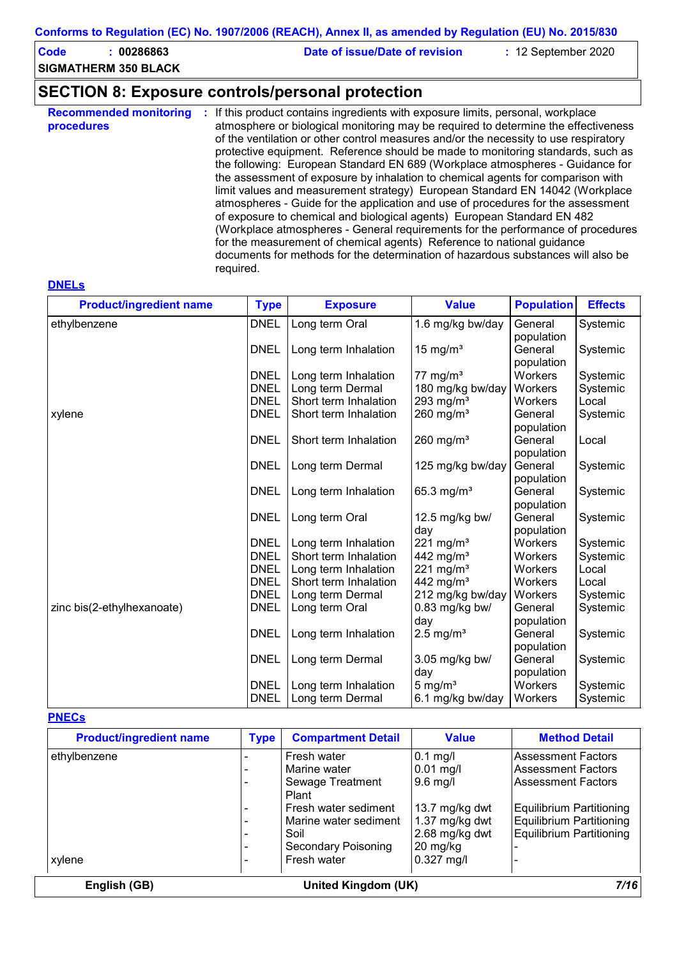**Code : 00286863 Date of issue/Date of revision :** 12 September 2020

**SIGMATHERM 350 BLACK**

## **SECTION 8: Exposure controls/personal protection**

| <b>Recommended monitoring</b><br>procedures | If this product contains ingredients with exposure limits, personal, workplace<br>atmosphere or biological monitoring may be required to determine the effectiveness<br>of the ventilation or other control measures and/or the necessity to use respiratory<br>protective equipment. Reference should be made to monitoring standards, such as<br>the following: European Standard EN 689 (Workplace atmospheres - Guidance for<br>the assessment of exposure by inhalation to chemical agents for comparison with<br>limit values and measurement strategy) European Standard EN 14042 (Workplace<br>atmospheres - Guide for the application and use of procedures for the assessment<br>of exposure to chemical and biological agents) European Standard EN 482<br>(Workplace atmospheres - General requirements for the performance of procedures<br>for the measurement of chemical agents) Reference to national guidance<br>documents for methods for the determination of hazardous substances will also be |
|---------------------------------------------|---------------------------------------------------------------------------------------------------------------------------------------------------------------------------------------------------------------------------------------------------------------------------------------------------------------------------------------------------------------------------------------------------------------------------------------------------------------------------------------------------------------------------------------------------------------------------------------------------------------------------------------------------------------------------------------------------------------------------------------------------------------------------------------------------------------------------------------------------------------------------------------------------------------------------------------------------------------------------------------------------------------------|
|                                             | required.                                                                                                                                                                                                                                                                                                                                                                                                                                                                                                                                                                                                                                                                                                                                                                                                                                                                                                                                                                                                           |

#### **DNELs**

| <b>Product/ingredient name</b> | <b>Type</b> | <b>Exposure</b>       | <b>Value</b>            | <b>Population</b> | <b>Effects</b> |
|--------------------------------|-------------|-----------------------|-------------------------|-------------------|----------------|
| ethylbenzene                   | <b>DNEL</b> | Long term Oral        | 1.6 mg/kg bw/day        | General           | Systemic       |
|                                |             |                       |                         | population        |                |
|                                | <b>DNEL</b> | Long term Inhalation  | 15 mg/ $m3$             | General           | Systemic       |
|                                |             |                       |                         | population        |                |
|                                | <b>DNEL</b> | Long term Inhalation  | 77 mg/m <sup>3</sup>    | Workers           | Systemic       |
|                                | <b>DNEL</b> | Long term Dermal      | 180 mg/kg bw/day        | Workers           | Systemic       |
|                                | <b>DNEL</b> | Short term Inhalation | 293 mg/m <sup>3</sup>   | Workers           | Local          |
| xylene                         | <b>DNEL</b> | Short term Inhalation | $260$ mg/m <sup>3</sup> | General           | Systemic       |
|                                |             |                       |                         | population        |                |
|                                | <b>DNEL</b> | Short term Inhalation | 260 mg/ $m3$            | General           | Local          |
|                                |             |                       |                         | population        |                |
|                                | <b>DNEL</b> | Long term Dermal      | 125 mg/kg bw/day        | General           | Systemic       |
|                                |             |                       |                         | population        |                |
|                                | <b>DNEL</b> | Long term Inhalation  | 65.3 mg/ $m^3$          | General           | Systemic       |
|                                |             |                       |                         | population        |                |
|                                | <b>DNEL</b> | Long term Oral        | 12.5 mg/kg bw/          | General           | Systemic       |
|                                |             |                       | day                     | population        |                |
|                                | <b>DNEL</b> | Long term Inhalation  | 221 mg/m $3$            | Workers           | Systemic       |
|                                | <b>DNEL</b> | Short term Inhalation | 442 mg/m <sup>3</sup>   | Workers           | Systemic       |
|                                | <b>DNEL</b> | Long term Inhalation  | 221 mg/m $3$            | Workers           | Local          |
|                                | <b>DNEL</b> | Short term Inhalation | 442 mg/m <sup>3</sup>   | <b>Workers</b>    | Local          |
|                                | <b>DNEL</b> | Long term Dermal      | 212 mg/kg bw/day        | Workers           | Systemic       |
| zinc bis(2-ethylhexanoate)     | <b>DNEL</b> | Long term Oral        | 0.83 mg/kg bw/          | General           | Systemic       |
|                                |             |                       | day                     | population        |                |
|                                | <b>DNEL</b> | Long term Inhalation  | $2.5 \text{ mg/m}^3$    | General           | Systemic       |
|                                |             |                       |                         | population        |                |
|                                | <b>DNEL</b> | Long term Dermal      | 3.05 mg/kg bw/          | General           | Systemic       |
|                                |             |                       | day                     | population        |                |
|                                | <b>DNEL</b> | Long term Inhalation  | $5 \text{ mg/m}^3$      | Workers           | Systemic       |
|                                | <b>DNEL</b> | Long term Dermal      | 6.1 mg/kg bw/day        | Workers           | Systemic       |

### **PNECs**

| <b>Product/ingredient name</b> | <b>Type</b> | <b>Compartment Detail</b> | <b>Value</b>     | <b>Method Detail</b>            |
|--------------------------------|-------------|---------------------------|------------------|---------------------------------|
| ethylbenzene                   |             | Fresh water               | $0.1$ mg/l       | <b>Assessment Factors</b>       |
|                                |             | Marine water              | $0.01$ mg/l      | <b>Assessment Factors</b>       |
|                                |             | Sewage Treatment          | $9.6$ mg/l       | <b>Assessment Factors</b>       |
|                                |             | Plant                     |                  |                                 |
|                                |             | Fresh water sediment      | 13.7 mg/kg dwt   | Equilibrium Partitioning        |
|                                |             | Marine water sediment     | $1.37$ mg/kg dwt | Equilibrium Partitioning        |
|                                |             | Soil                      | 2.68 mg/kg dwt   | <b>Equilibrium Partitioning</b> |
|                                |             | Secondary Poisoning       | 20 mg/kg         |                                 |
| xylene                         |             | Fresh water               | $0.327$ mg/l     |                                 |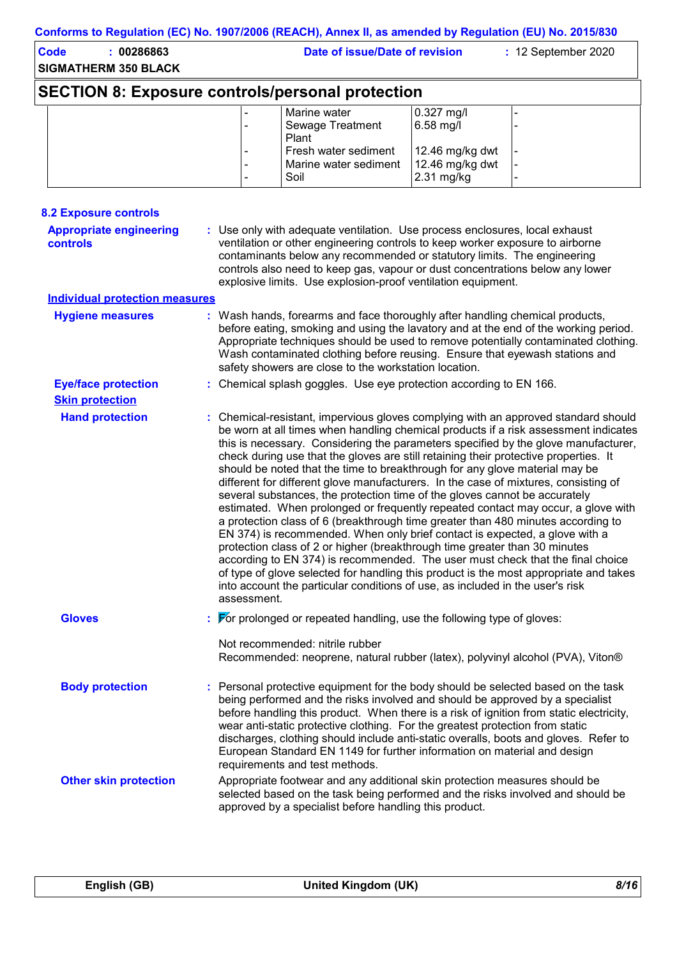| <b>Code</b> | : 00286863<br><b>SIGMATHERM 350 BLACK</b>               | Date of issue/Date of revision                        |                                                  | : 12 September 2020 |
|-------------|---------------------------------------------------------|-------------------------------------------------------|--------------------------------------------------|---------------------|
|             | <b>SECTION 8: Exposure controls/personal protection</b> |                                                       |                                                  |                     |
|             |                                                         | Marine water<br><b>Sewage Treatment</b><br>Plant      | $0.327$ mg/l<br>$6.58$ mg/l                      |                     |
|             |                                                         | Fresh water sediment<br>Marine water sediment<br>Soil | 12.46 mg/kg dwt<br>12.46 mg/kg dwt<br>2.31 mg/kg |                     |

| <b>8.2 Exposure controls</b>                      |                                                                                                                                                                                                                                                                                                                                                                                                                                                                                                                                                                                                                                                                                                                                                                                                                                                                                                                                                                                                                                                                                                                                                                                                                             |
|---------------------------------------------------|-----------------------------------------------------------------------------------------------------------------------------------------------------------------------------------------------------------------------------------------------------------------------------------------------------------------------------------------------------------------------------------------------------------------------------------------------------------------------------------------------------------------------------------------------------------------------------------------------------------------------------------------------------------------------------------------------------------------------------------------------------------------------------------------------------------------------------------------------------------------------------------------------------------------------------------------------------------------------------------------------------------------------------------------------------------------------------------------------------------------------------------------------------------------------------------------------------------------------------|
| <b>Appropriate engineering</b><br><b>controls</b> | : Use only with adequate ventilation. Use process enclosures, local exhaust<br>ventilation or other engineering controls to keep worker exposure to airborne<br>contaminants below any recommended or statutory limits. The engineering<br>controls also need to keep gas, vapour or dust concentrations below any lower<br>explosive limits. Use explosion-proof ventilation equipment.                                                                                                                                                                                                                                                                                                                                                                                                                                                                                                                                                                                                                                                                                                                                                                                                                                    |
| <b>Individual protection measures</b>             |                                                                                                                                                                                                                                                                                                                                                                                                                                                                                                                                                                                                                                                                                                                                                                                                                                                                                                                                                                                                                                                                                                                                                                                                                             |
| <b>Hygiene measures</b>                           | : Wash hands, forearms and face thoroughly after handling chemical products,<br>before eating, smoking and using the lavatory and at the end of the working period.<br>Appropriate techniques should be used to remove potentially contaminated clothing.<br>Wash contaminated clothing before reusing. Ensure that eyewash stations and<br>safety showers are close to the workstation location.                                                                                                                                                                                                                                                                                                                                                                                                                                                                                                                                                                                                                                                                                                                                                                                                                           |
| <b>Eye/face protection</b>                        | : Chemical splash goggles. Use eye protection according to EN 166.                                                                                                                                                                                                                                                                                                                                                                                                                                                                                                                                                                                                                                                                                                                                                                                                                                                                                                                                                                                                                                                                                                                                                          |
| <b>Skin protection</b>                            |                                                                                                                                                                                                                                                                                                                                                                                                                                                                                                                                                                                                                                                                                                                                                                                                                                                                                                                                                                                                                                                                                                                                                                                                                             |
| <b>Hand protection</b>                            | : Chemical-resistant, impervious gloves complying with an approved standard should<br>be worn at all times when handling chemical products if a risk assessment indicates<br>this is necessary. Considering the parameters specified by the glove manufacturer,<br>check during use that the gloves are still retaining their protective properties. It<br>should be noted that the time to breakthrough for any glove material may be<br>different for different glove manufacturers. In the case of mixtures, consisting of<br>several substances, the protection time of the gloves cannot be accurately<br>estimated. When prolonged or frequently repeated contact may occur, a glove with<br>a protection class of 6 (breakthrough time greater than 480 minutes according to<br>EN 374) is recommended. When only brief contact is expected, a glove with a<br>protection class of 2 or higher (breakthrough time greater than 30 minutes<br>according to EN 374) is recommended. The user must check that the final choice<br>of type of glove selected for handling this product is the most appropriate and takes<br>into account the particular conditions of use, as included in the user's risk<br>assessment. |
| <b>Gloves</b>                                     | $\therefore$ $\blacktriangleright$ prolonged or repeated handling, use the following type of gloves:<br>Not recommended: nitrile rubber<br>Recommended: neoprene, natural rubber (latex), polyvinyl alcohol (PVA), Viton®                                                                                                                                                                                                                                                                                                                                                                                                                                                                                                                                                                                                                                                                                                                                                                                                                                                                                                                                                                                                   |
| <b>Body protection</b>                            | : Personal protective equipment for the body should be selected based on the task<br>being performed and the risks involved and should be approved by a specialist<br>before handling this product. When there is a risk of ignition from static electricity,<br>wear anti-static protective clothing. For the greatest protection from static<br>discharges, clothing should include anti-static overalls, boots and gloves. Refer to<br>European Standard EN 1149 for further information on material and design<br>requirements and test methods.                                                                                                                                                                                                                                                                                                                                                                                                                                                                                                                                                                                                                                                                        |
| <b>Other skin protection</b>                      | Appropriate footwear and any additional skin protection measures should be<br>selected based on the task being performed and the risks involved and should be<br>approved by a specialist before handling this product.                                                                                                                                                                                                                                                                                                                                                                                                                                                                                                                                                                                                                                                                                                                                                                                                                                                                                                                                                                                                     |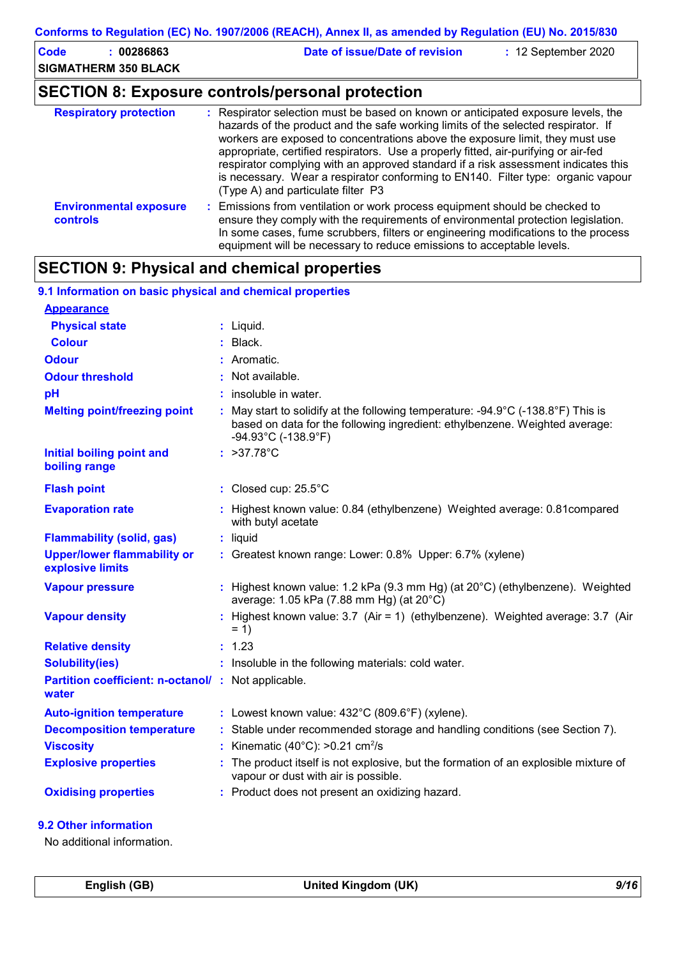| <b>Code</b><br>: 00286863<br><b>SIGMATHERM 350 BLACK</b> | Date of issue/Date of revision<br>: 12 September 2020                                                                                                                                                                                                                                                                                                                                                                                                                                                                                                          |
|----------------------------------------------------------|----------------------------------------------------------------------------------------------------------------------------------------------------------------------------------------------------------------------------------------------------------------------------------------------------------------------------------------------------------------------------------------------------------------------------------------------------------------------------------------------------------------------------------------------------------------|
|                                                          | <b>SECTION 8: Exposure controls/personal protection</b>                                                                                                                                                                                                                                                                                                                                                                                                                                                                                                        |
| <b>Respiratory protection</b>                            | : Respirator selection must be based on known or anticipated exposure levels, the<br>hazards of the product and the safe working limits of the selected respirator. If<br>workers are exposed to concentrations above the exposure limit, they must use<br>appropriate, certified respirators. Use a properly fitted, air-purifying or air-fed<br>respirator complying with an approved standard if a risk assessment indicates this<br>is necessary. Wear a respirator conforming to EN140. Filter type: organic vapour<br>(Type A) and particulate filter P3 |
| <b>Environmental exposure</b><br><b>controls</b>         | : Emissions from ventilation or work process equipment should be checked to<br>ensure they comply with the requirements of environmental protection legislation.<br>In some cases, fume scrubbers, filters or engineering modifications to the process<br>equipment will be necessary to reduce emissions to acceptable levels.                                                                                                                                                                                                                                |

## **SECTION 9: Physical and chemical properties**

| 9.1 Information on basic physical and chemical properties          |    |                                                                                                                                                                                                |
|--------------------------------------------------------------------|----|------------------------------------------------------------------------------------------------------------------------------------------------------------------------------------------------|
| <b>Appearance</b>                                                  |    |                                                                                                                                                                                                |
| <b>Physical state</b>                                              |    | : Liquid.                                                                                                                                                                                      |
| <b>Colour</b>                                                      |    | $:$ Black.                                                                                                                                                                                     |
| <b>Odour</b>                                                       |    | Aromatic.                                                                                                                                                                                      |
| <b>Odour threshold</b>                                             |    | : Not available.                                                                                                                                                                               |
| pH                                                                 |    | : insoluble in water.                                                                                                                                                                          |
| <b>Melting point/freezing point</b>                                | ÷. | May start to solidify at the following temperature: -94.9°C (-138.8°F) This is<br>based on data for the following ingredient: ethylbenzene. Weighted average:<br>$-94.93^{\circ}$ C (-138.9°F) |
| <b>Initial boiling point and</b><br>boiling range                  |    | : $>37.78^{\circ}C$                                                                                                                                                                            |
| <b>Flash point</b>                                                 |    | : Closed cup: $25.5^{\circ}$ C                                                                                                                                                                 |
| <b>Evaporation rate</b>                                            |    | : Highest known value: 0.84 (ethylbenzene) Weighted average: 0.81 compared<br>with butyl acetate                                                                                               |
| <b>Flammability (solid, gas)</b>                                   |    | : liquid                                                                                                                                                                                       |
| <b>Upper/lower flammability or</b><br>explosive limits             |    | : Greatest known range: Lower: 0.8% Upper: 6.7% (xylene)                                                                                                                                       |
| <b>Vapour pressure</b>                                             |    | : Highest known value: 1.2 kPa (9.3 mm Hg) (at 20°C) (ethylbenzene). Weighted<br>average: 1.05 kPa (7.88 mm Hg) (at 20°C)                                                                      |
| <b>Vapour density</b>                                              |    | : Highest known value: 3.7 (Air = 1) (ethylbenzene). Weighted average: 3.7 (Air<br>$= 1$                                                                                                       |
| <b>Relative density</b>                                            |    | : 1.23                                                                                                                                                                                         |
| <b>Solubility(ies)</b>                                             |    | : Insoluble in the following materials: cold water.                                                                                                                                            |
| <b>Partition coefficient: n-octanol/: Not applicable.</b><br>water |    |                                                                                                                                                                                                |
| <b>Auto-ignition temperature</b>                                   |    | : Lowest known value: $432^{\circ}$ C (809.6°F) (xylene).                                                                                                                                      |
| <b>Decomposition temperature</b>                                   |    | : Stable under recommended storage and handling conditions (see Section 7).                                                                                                                    |
| <b>Viscosity</b>                                                   |    | Kinematic (40 $^{\circ}$ C): >0.21 cm <sup>2</sup> /s                                                                                                                                          |
| <b>Explosive properties</b>                                        |    | The product itself is not explosive, but the formation of an explosible mixture of<br>vapour or dust with air is possible.                                                                     |
| <b>Oxidising properties</b>                                        |    | Product does not present an oxidizing hazard.                                                                                                                                                  |
|                                                                    |    |                                                                                                                                                                                                |

### **9.2 Other information**

No additional information.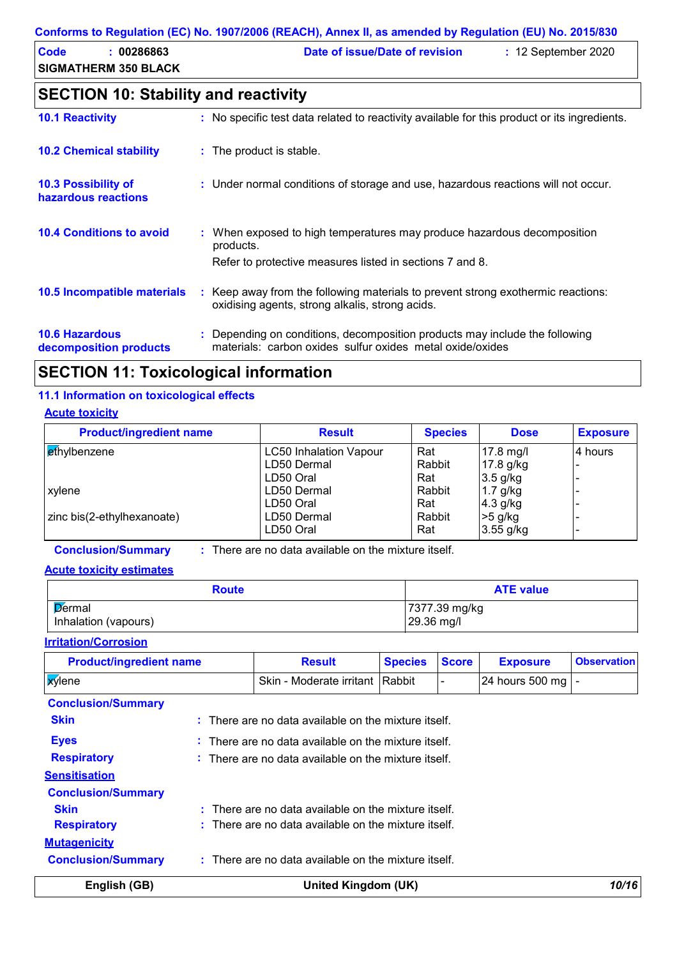### **Conforms to Regulation (EC) No. 1907/2006 (REACH), Annex II, as amended by Regulation (EU) No. 2015/830**

| <b>Code</b><br>: 00286863   | Date of issue/Date of revision<br>$: 12$ September 2020                                      |
|-----------------------------|----------------------------------------------------------------------------------------------|
| <b>SIGMATHERM 350 BLACK</b> |                                                                                              |
|                             | <b>SECTION 10: Stability and reactivity</b>                                                  |
| <b>10.1 Reactivity</b>      | : No specific test data related to reactivity available for this product or its ingredients. |

| <b>10.2 Chemical stability</b>                  | : The product is stable.                                                                                                                         |
|-------------------------------------------------|--------------------------------------------------------------------------------------------------------------------------------------------------|
| 10.3 Possibility of<br>hazardous reactions      | : Under normal conditions of storage and use, hazardous reactions will not occur.                                                                |
| <b>10.4 Conditions to avoid</b>                 | : When exposed to high temperatures may produce hazardous decomposition<br>products.<br>Refer to protective measures listed in sections 7 and 8. |
| 10.5 Incompatible materials                     | : Keep away from the following materials to prevent strong exothermic reactions:<br>oxidising agents, strong alkalis, strong acids.              |
| <b>10.6 Hazardous</b><br>decomposition products | : Depending on conditions, decomposition products may include the following<br>materials: carbon oxides sulfur oxides metal oxide/oxides         |

## **SECTION 11: Toxicological information**

## **11.1 Information on toxicological effects**

### **Acute toxicity**

| <b>Product/ingredient name</b> | <b>Result</b>                 | <b>Species</b> | <b>Dose</b> | <b>Exposure</b> |
|--------------------------------|-------------------------------|----------------|-------------|-----------------|
| ethylbenzene                   | <b>LC50 Inhalation Vapour</b> | Rat            | $17.8$ mg/l | 4 hours         |
|                                | LD50 Dermal                   | Rabbit         | 17.8 $g/kg$ |                 |
|                                | LD50 Oral                     | Rat            | $3.5$ g/kg  |                 |
| xylene                         | LD50 Dermal                   | Rabbit         | $1.7$ g/kg  |                 |
|                                | LD50 Oral                     | Rat            | $4.3$ g/kg  |                 |
| zinc bis(2-ethylhexanoate)     | LD50 Dermal                   | Rabbit         | $>5$ g/kg   |                 |
|                                | LD50 Oral                     | Rat            | $3.55$ g/kg |                 |

**Conclusion/Summary :** : There are no data available on the mixture itself.

### **Acute toxicity estimates**

| <b>Route</b>         | <b>ATE value</b> |
|----------------------|------------------|
| Dermal               | 7377.39 mg/kg    |
| Inhalation (vapours) | 29.36 mg/l       |

### **Irritation/Corrosion**

| <b>Product/ingredient name</b> | <b>Result</b>                                                   | <b>Species</b> | <b>Score</b> | <b>Exposure</b> | <b>Observation</b> |
|--------------------------------|-----------------------------------------------------------------|----------------|--------------|-----------------|--------------------|
| <b>x</b> ylene                 | Skin - Moderate irritant IRabbit                                |                |              | 24 hours 500 mg |                    |
| <b>Conclusion/Summary</b>      |                                                                 |                |              |                 |                    |
| <b>Skin</b>                    | $:$ There are no data available on the mixture itself.          |                |              |                 |                    |
| <b>Eyes</b>                    | $\therefore$ There are no data available on the mixture itself. |                |              |                 |                    |
| <b>Respiratory</b>             | $\therefore$ There are no data available on the mixture itself. |                |              |                 |                    |
| <b>Sensitisation</b>           |                                                                 |                |              |                 |                    |
| <b>Conclusion/Summary</b>      |                                                                 |                |              |                 |                    |
| <b>Skin</b>                    | $:$ There are no data available on the mixture itself.          |                |              |                 |                    |
| <b>Respiratory</b>             | $:$ There are no data available on the mixture itself.          |                |              |                 |                    |
| <b>Mutagenicity</b>            |                                                                 |                |              |                 |                    |
| <b>Conclusion/Summary</b>      | $\therefore$ There are no data available on the mixture itself. |                |              |                 |                    |
| English (GB)                   | United Kingdom (UK)                                             |                |              |                 | 10/16              |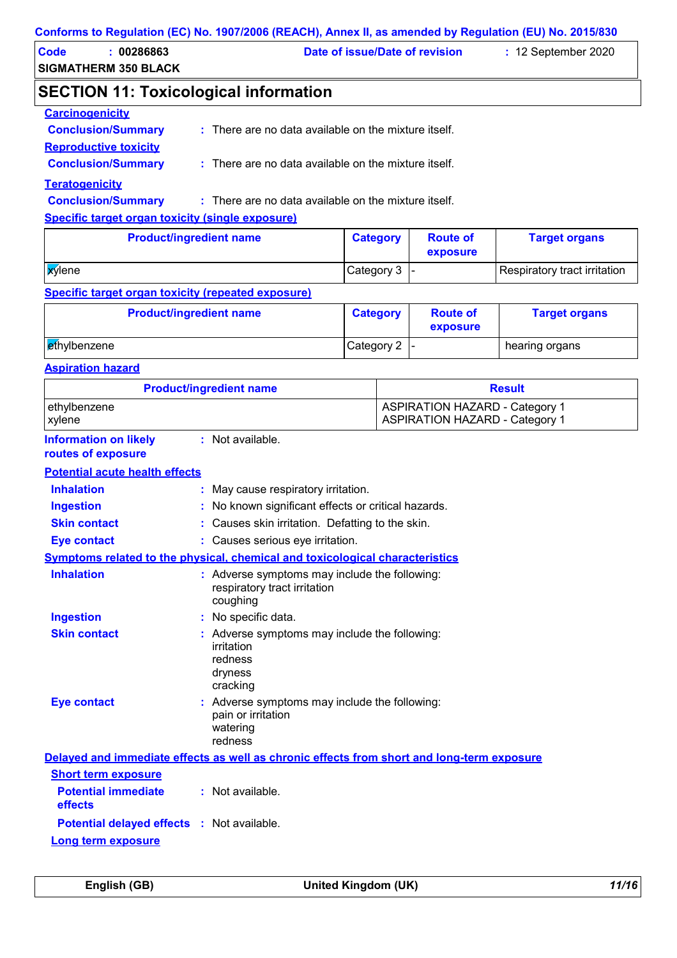| Code | 00286863                    | Date of issue/Date of revision | $: 12$ September 2020 |
|------|-----------------------------|--------------------------------|-----------------------|
|      | <b>SIGMATHERM 350 BLACK</b> |                                |                       |
|      |                             |                                |                       |

## **SECTION 11: Toxicological information**

| <b>Carcinogenicity</b>       |                                                                 |
|------------------------------|-----------------------------------------------------------------|
| <b>Conclusion/Summary</b>    | $\therefore$ There are no data available on the mixture itself. |
| <b>Reproductive toxicity</b> |                                                                 |
| <b>Conclusion/Summary</b>    | : There are no data available on the mixture itself.            |
| <b>Teratogenicity</b>        |                                                                 |
| <b>Conclusion/Summary</b>    | $\therefore$ There are no data available on the mixture itself. |
|                              |                                                                 |

**Specific target organ toxicity (single exposure)**

| <b>Product/ingredient name</b> | <b>Category</b> | <b>Route of</b><br>exposure | <b>Target organs</b>         |
|--------------------------------|-----------------|-----------------------------|------------------------------|
| <b>X</b> ylene                 | Category 3  -   |                             | Respiratory tract irritation |

### **Specific target organ toxicity (repeated exposure)**

| <b>Product/ingredient name</b> | <b>Category</b> | <b>Route of</b><br>exposure | <b>Target organs</b> |
|--------------------------------|-----------------|-----------------------------|----------------------|
| ethylbenzene                   | Category 2      |                             | hearing organs       |

### **Aspiration hazard**

| <b>Product/ingredient name</b>                     |                                                                                               | <b>Result</b>                                                                  |
|----------------------------------------------------|-----------------------------------------------------------------------------------------------|--------------------------------------------------------------------------------|
| ethylbenzene<br>xylene                             |                                                                                               | <b>ASPIRATION HAZARD - Category 1</b><br><b>ASPIRATION HAZARD - Category 1</b> |
| <b>Information on likely</b><br>routes of exposure | : Not available.                                                                              |                                                                                |
| <b>Potential acute health effects</b>              |                                                                                               |                                                                                |
| <b>Inhalation</b>                                  | May cause respiratory irritation.                                                             |                                                                                |
| <b>Ingestion</b>                                   | No known significant effects or critical hazards.                                             |                                                                                |
| <b>Skin contact</b>                                | Causes skin irritation. Defatting to the skin.                                                |                                                                                |
| <b>Eye contact</b>                                 | : Causes serious eye irritation.                                                              |                                                                                |
|                                                    | Symptoms related to the physical, chemical and toxicological characteristics                  |                                                                                |
| <b>Inhalation</b>                                  | : Adverse symptoms may include the following:<br>respiratory tract irritation<br>coughing     |                                                                                |
| <b>Ingestion</b>                                   | : No specific data.                                                                           |                                                                                |
| <b>Skin contact</b>                                | : Adverse symptoms may include the following:<br>irritation<br>redness<br>dryness<br>cracking |                                                                                |
| <b>Eye contact</b>                                 | : Adverse symptoms may include the following:<br>pain or irritation<br>watering<br>redness    |                                                                                |
|                                                    | Delayed and immediate effects as well as chronic effects from short and long-term exposure    |                                                                                |
| <b>Short term exposure</b>                         |                                                                                               |                                                                                |
| <b>Potential immediate</b><br>effects              | : Not available.                                                                              |                                                                                |
| <b>Potential delayed effects : Not available.</b>  |                                                                                               |                                                                                |
| Long term exposure                                 |                                                                                               |                                                                                |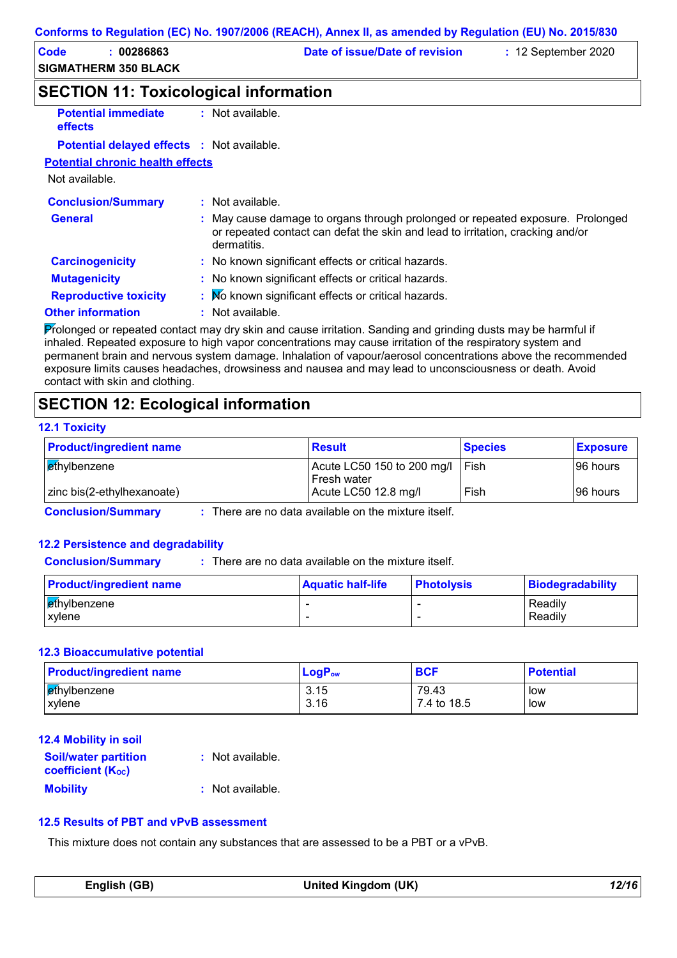| Code | 00286863             | Date of issue/Date of revision | $: 12$ September 2020 |  |
|------|----------------------|--------------------------------|-----------------------|--|
|      | SIGMATHERM 350 BLACK |                                |                       |  |

### **SECTION 11: Toxicological information**

| <b>Potential immediate</b><br><b>effects</b>      | : Not available.                                                                                                                                                                |
|---------------------------------------------------|---------------------------------------------------------------------------------------------------------------------------------------------------------------------------------|
| <b>Potential delayed effects : Not available.</b> |                                                                                                                                                                                 |
| <b>Potential chronic health effects</b>           |                                                                                                                                                                                 |
| Not available.                                    |                                                                                                                                                                                 |
| <b>Conclusion/Summary</b>                         | : Not available.                                                                                                                                                                |
| <b>General</b>                                    | : May cause damage to organs through prolonged or repeated exposure. Prolonged<br>or repeated contact can defat the skin and lead to irritation, cracking and/or<br>dermatitis. |
| <b>Carcinogenicity</b>                            | : No known significant effects or critical hazards.                                                                                                                             |
| <b>Mutagenicity</b>                               | : No known significant effects or critical hazards.                                                                                                                             |
| <b>Reproductive toxicity</b>                      | : No known significant effects or critical hazards.                                                                                                                             |
| <b>Other information</b>                          | $:$ Not available.                                                                                                                                                              |
|                                                   | $\Box$ . The second contract of the second state of the second second indicated and solved second second state of the second of $x$                                             |

Prolonged or repeated contact may dry skin and cause irritation. Sanding and grinding dusts may be harmful if inhaled. Repeated exposure to high vapor concentrations may cause irritation of the respiratory system and permanent brain and nervous system damage. Inhalation of vapour/aerosol concentrations above the recommended exposure limits causes headaches, drowsiness and nausea and may lead to unconsciousness or death. Avoid contact with skin and clothing.

## **SECTION 12: Ecological information**

### **12.1 Toxicity**

| <b>Product/ingredient name</b> | <b>Result</b>                           | <b>Species</b> | <b>Exposure</b> |
|--------------------------------|-----------------------------------------|----------------|-----------------|
| ethylbenzene                   | Acute LC50 150 to 200 mg/l $\vert$ Fish |                | 196 hours       |
|                                | l Fresh water                           |                |                 |
| zinc bis(2-ethylhexanoate)     | Acute LC50 12.8 mg/l                    | Fish           | 196 hours       |

**Conclusion/Summary :** There are no data available on the mixture itself.

### **12.2 Persistence and degradability**

**Conclusion/Summary :** : There are no data available on the mixture itself.

| <b>Product/ingredient name</b>         | <b>Aquatic half-life</b> | <b>Photolysis</b> | Biodegradability   |
|----------------------------------------|--------------------------|-------------------|--------------------|
| ∣ <mark>e</mark> thγlbenzene<br>xvlene | -                        |                   | Readily<br>Readily |

#### **12.3 Bioaccumulative potential**

| <b>Product/ingredient name</b> | $LogP_{ow}$ | <b>BCF</b>  | <b>Potential</b> |
|--------------------------------|-------------|-------------|------------------|
| ∣ <mark>et</mark> hylbenzene   | 3.15        | 79.43       | low              |
| xylene                         | 3.16        | 7.4 to 18.5 | low              |

| 12.4 Mobility in soil                                   |                  |
|---------------------------------------------------------|------------------|
| <b>Soil/water partition</b><br><b>coefficient (Koc)</b> | : Not available. |
| <b>Mobility</b>                                         | : Not available. |

### **12.5 Results of PBT and vPvB assessment**

This mixture does not contain any substances that are assessed to be a PBT or a vPvB.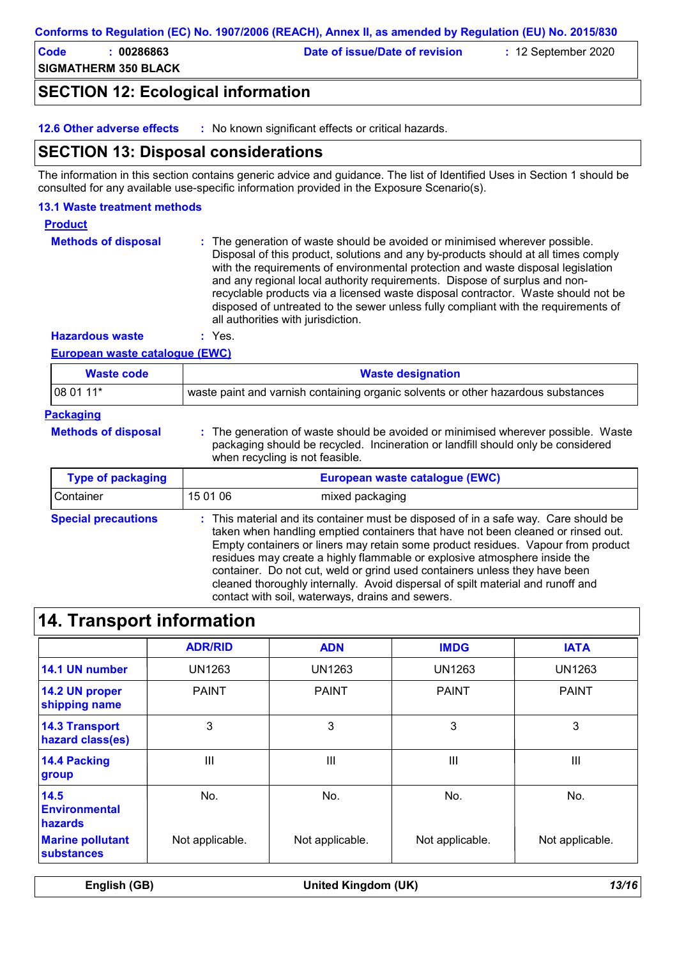#### **Conforms to Regulation (EC) No. 1907/2006 (REACH), Annex II, as amended by Regulation (EU) No. 2015/830**

**Code : 00286863 Date of issue/Date of revision :** 12 September 2020

**SIGMATHERM 350 BLACK**

## **SECTION 12: Ecological information**

**12.6 Other adverse effects :** No known significant effects or critical hazards.

### **SECTION 13: Disposal considerations**

The information in this section contains generic advice and guidance. The list of Identified Uses in Section 1 should be consulted for any available use-specific information provided in the Exposure Scenario(s).

### **13.1 Waste treatment methods**

### **Product**

The generation of waste should be avoided or minimised wherever possible. Disposal of this product, solutions and any by-products should at all times comply with the requirements of environmental protection and waste disposal legislation and any regional local authority requirements. Dispose of surplus and nonrecyclable products via a licensed waste disposal contractor. Waste should not be disposed of untreated to the sewer unless fully compliant with the requirements of all authorities with jurisdiction. **Methods of disposal :**

**Hazardous waste :** Yes.

### **European waste catalogue (EWC)**

| <b>Waste code</b>          | <b>Waste designation</b>                                                                                                                                                                                                                                                                                                                 |  |
|----------------------------|------------------------------------------------------------------------------------------------------------------------------------------------------------------------------------------------------------------------------------------------------------------------------------------------------------------------------------------|--|
| 08 01 11*                  | waste paint and varnish containing organic solvents or other hazardous substances                                                                                                                                                                                                                                                        |  |
| <b>Packaging</b>           |                                                                                                                                                                                                                                                                                                                                          |  |
| <b>Methods of disposal</b> | : The generation of waste should be avoided or minimised wherever possible. Waste<br>packaging should be recycled. Incineration or landfill should only be considered<br>when recycling is not feasible.                                                                                                                                 |  |
| <b>Type of packaging</b>   | European waste catalogue (EWC)                                                                                                                                                                                                                                                                                                           |  |
| Container                  | 15 01 06<br>mixed packaging                                                                                                                                                                                                                                                                                                              |  |
| <b>Special precautions</b> | : This material and its container must be disposed of in a safe way. Care should be<br>taken when handling emptied containers that have not been cleaned or rinsed out.<br>Empty containers or liners may retain some product residues. Vapour from product<br>residues may create a highly flammable or explosive atmosphere inside the |  |

container. Do not cut, weld or grind used containers unless they have been cleaned thoroughly internally. Avoid dispersal of spilt material and runoff and

## **14. Transport information**

|                                                | <b>ADR/RID</b>  | <b>ADN</b>      | <b>IMDG</b>     | <b>IATA</b>     |
|------------------------------------------------|-----------------|-----------------|-----------------|-----------------|
| 14.1 UN number                                 | UN1263          | UN1263          | UN1263          | <b>UN1263</b>   |
| 14.2 UN proper<br>shipping name                | <b>PAINT</b>    | <b>PAINT</b>    | <b>PAINT</b>    | <b>PAINT</b>    |
| <b>14.3 Transport</b><br>hazard class(es)      | 3               | 3               | 3               | 3               |
| 14.4 Packing<br>group                          | III             | III             | Ш               | III             |
| 14.5<br><b>Environmental</b><br><b>hazards</b> | No.             | No.             | No.             | No.             |
| <b>Marine pollutant</b><br><b>substances</b>   | Not applicable. | Not applicable. | Not applicable. | Not applicable. |

contact with soil, waterways, drains and sewers.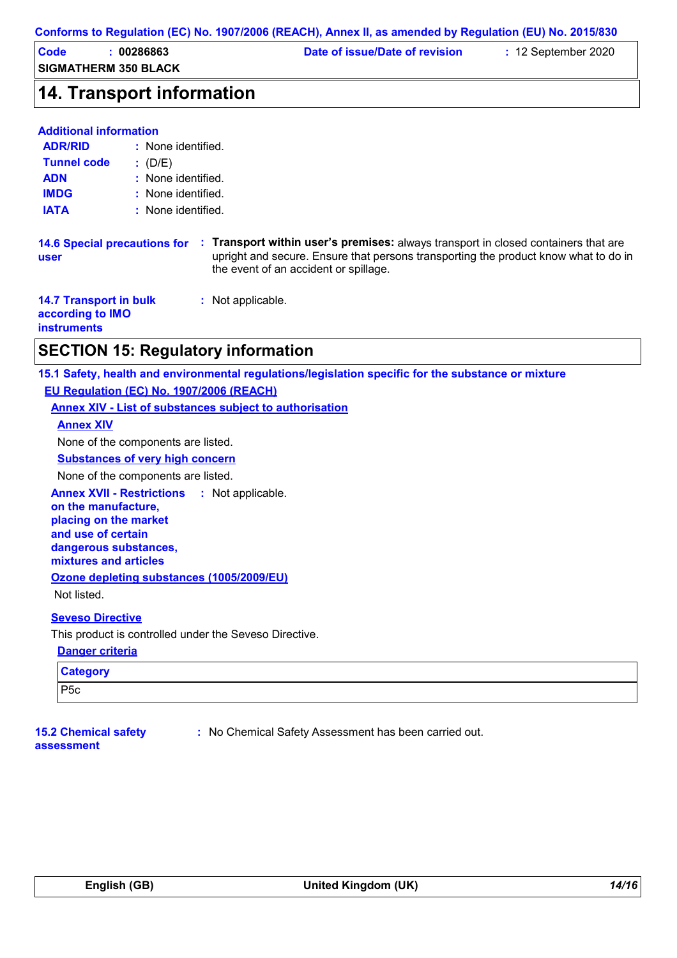|  | Conforms to Regulation (EC) No. 1907/2006 (REACH), Annex II, as amended by Regulation (EU) No. 2015/830 |  |
|--|---------------------------------------------------------------------------------------------------------|--|
|--|---------------------------------------------------------------------------------------------------------|--|

| Code | 00286863                    | Date of issue/Date of revision | $\div$ 12 September 2020 |  |
|------|-----------------------------|--------------------------------|--------------------------|--|
|      | <b>SIGMATHERM 350 BLACK</b> |                                |                          |  |

## **14. Transport information**

#### **Additional information**

| <b>ADR/RID</b>     | : None identified. |
|--------------------|--------------------|
| <b>Tunnel code</b> | : (D/E)            |
| <b>ADN</b>         | : None identified. |
| <b>IMDG</b>        | : None identified. |
| <b>IATA</b>        | : None identified. |

**14.6 Special precautions for : Transport within user's premises:** always transport in closed containers that are upright and secure. Ensure that persons transporting the product know what to do in the event of an accident or spillage. **user**

|                    | <b>14.7 Transport in bulk</b><br>according to IMO | : Not applicable. |
|--------------------|---------------------------------------------------|-------------------|
| <b>instruments</b> |                                                   |                   |

## **SECTION 15: Regulatory information**

**15.1 Safety, health and environmental regulations/legislation specific for the substance or mixture EU Regulation (EC) No. 1907/2006 (REACH)**

**Annex XIV - List of substances subject to authorisation**

#### **Annex XIV**

None of the components are listed.

**Substances of very high concern**

None of the components are listed.

**Annex XVII - Restrictions :** Not applicable.

**on the manufacture, placing on the market and use of certain dangerous substances, mixtures and articles Ozone depleting substances (1005/2009/EU)**

Not listed.

### **Seveso Directive**

This product is controlled under the Seveso Directive.

#### **Danger criteria**

| <b>Category</b> |  |
|-----------------|--|
| P5c             |  |

**15.2 Chemical safety assessment**

**:** No Chemical Safety Assessment has been carried out.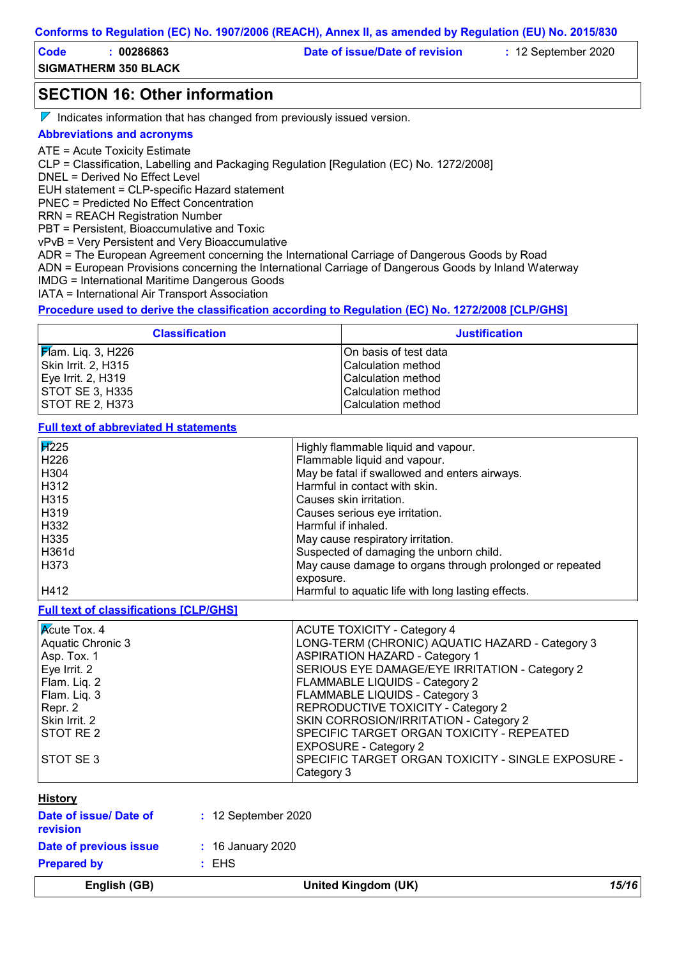| Code | 00286863                    | Date of issue/Date of revision | $: 12$ September 2020 |  |
|------|-----------------------------|--------------------------------|-----------------------|--|
|      | <b>SIGMATHERM 350 BLACK</b> |                                |                       |  |

**SECTION 16: Other information**

 $\nabla$  Indicates information that has changed from previously issued version.

### **Abbreviations and acronyms**

ATE = Acute Toxicity Estimate

CLP = Classification, Labelling and Packaging Regulation [Regulation (EC) No. 1272/2008]

DNEL = Derived No Effect Level

EUH statement = CLP-specific Hazard statement

PNEC = Predicted No Effect Concentration

RRN = REACH Registration Number

PBT = Persistent, Bioaccumulative and Toxic

vPvB = Very Persistent and Very Bioaccumulative

ADR = The European Agreement concerning the International Carriage of Dangerous Goods by Road

ADN = European Provisions concerning the International Carriage of Dangerous Goods by Inland Waterway

IMDG = International Maritime Dangerous Goods

IATA = International Air Transport Association

**Procedure used to derive the classification according to Regulation (EC) No. 1272/2008 [CLP/GHS]**

| <b>Classification</b>     | <b>Justification</b>      |
|---------------------------|---------------------------|
| <b>F</b> am. Liq. 3, H226 | IOn basis of test data    |
| Skin Irrit. 2, H315       | <b>Calculation method</b> |
| Eye Irrit. 2, H319        | <b>Calculation method</b> |
| STOT SE 3, H335           | <b>Calculation method</b> |
| ISTOT RE 2. H373          | <b>Calculation method</b> |

**Full text of abbreviated H statements**

| $\sqrt{1225}$ | Highly flammable liquid and vapour.                      |
|---------------|----------------------------------------------------------|
| H226          | Flammable liquid and vapour.                             |
| H304          | May be fatal if swallowed and enters airways.            |
| H312          | Harmful in contact with skin.                            |
| H315          | Causes skin irritation.                                  |
| H319          | Causes serious eye irritation.                           |
| H332          | Harmful if inhaled.                                      |
| H335          | May cause respiratory irritation.                        |
| l H361d       | Suspected of damaging the unborn child.                  |
| H373          | May cause damage to organs through prolonged or repeated |
|               | exposure.                                                |
| H412          | Harmful to aquatic life with long lasting effects.       |

**Full text of classifications [CLP/GHS]**

| $\overline{\mathsf{K}}$ cute Tox. 4<br>Aquatic Chronic 3<br>Asp. Tox. 1<br>Eye Irrit. 2<br>Flam. Liq. 2<br>Flam. Liq. 3<br>Repr. 2<br>Skin Irrit. 2 | <b>ACUTE TOXICITY - Category 4</b><br>LONG-TERM (CHRONIC) AQUATIC HAZARD - Category 3<br><b>ASPIRATION HAZARD - Category 1</b><br>SERIOUS EYE DAMAGE/EYE IRRITATION - Category 2<br><b>FLAMMABLE LIQUIDS - Category 2</b><br><b>FLAMMABLE LIQUIDS - Category 3</b><br><b>REPRODUCTIVE TOXICITY - Category 2</b><br>SKIN CORROSION/IRRITATION - Category 2 |
|-----------------------------------------------------------------------------------------------------------------------------------------------------|-----------------------------------------------------------------------------------------------------------------------------------------------------------------------------------------------------------------------------------------------------------------------------------------------------------------------------------------------------------|
| <b>STOT RE 2</b>                                                                                                                                    | SPECIFIC TARGET ORGAN TOXICITY - REPEATED<br><b>EXPOSURE - Category 2</b>                                                                                                                                                                                                                                                                                 |
| <b>STOT SE 3</b>                                                                                                                                    | SPECIFIC TARGET ORGAN TOXICITY - SINGLE EXPOSURE -<br>Category 3                                                                                                                                                                                                                                                                                          |

### **History**

| English (GB)                       | United Kingdom (UK)    | 15/16 |
|------------------------------------|------------------------|-------|
| <b>Prepared by</b>                 | $:$ EHS                |       |
| Date of previous issue             | $\div$ 16 January 2020 |       |
| Date of issue/ Date of<br>revision | $: 12$ September 2020  |       |
|                                    |                        |       |